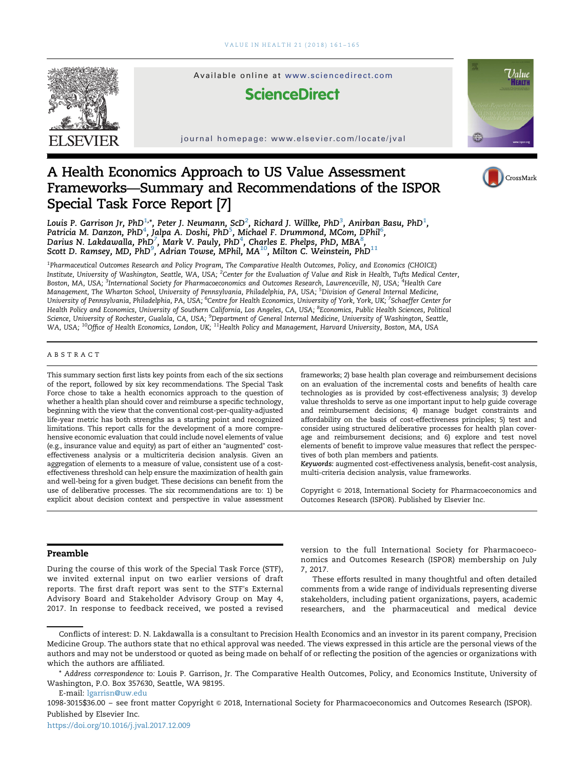

Available online at www.sciencedirect.com

## **ScienceDirect**

journal homepage: www.elsevier.com/locate/jval



## A Health Economics Approach to US Value Assessment Frameworks—Summary and Recommendations of the ISPOR Special Task Force Report [7]

CrossMark

Louis P. Garrison Jr, PhD $^{1,\ast}$ , Peter J. Neumann, ScD $^2$ , Richard J. Willke, PhD $^3$ , Anirban Basu, PhD $^1$ , Patricia M. Danzon, PhD<sup>4</sup>, Jalpa A. Doshi, PhD<sup>5</sup>, Michael F. Drummond, MCom, DPhil<sup>6</sup>, Darius N. Lakdawalla, PhD<sup>7</sup>, Mark V. Pauly, PhD<sup>4</sup>, Charles E. Phelps, PhD, MBA<sup>8</sup>,<br>Scott D. Ramsey, MD, PhD<sup>9</sup>, Adrian Towse, MPhil, MA<sup>10</sup>, Milton C. Weinstein, PhD<sup>11</sup>

1 Pharmaceutical Outcomes Research and Policy Program, The Comparative Health Outcomes, Policy, and Economics (CHOICE) Institute, University of Washington, Seattle, WA, USA; <sup>2</sup>Center for the Evaluation of Value and Risk in Health, Tufts Medical Center, Boston, MA, USA; <sup>3</sup>International Society for Pharmacoeconomics and Outcomes Research, Lawrenceville, NJ, USA; <sup>4</sup>Health Care Management, The Wharton School, University of Pennsylvania, Philadelphia, PA, USA; <sup>5</sup>Division of General Internal Medicine, University of Pennsylvania, Philadelphia, PA, USA; <sup>6</sup>Centre for Health Economics, University of York, York, UK; <sup>7</sup>Schaeffer Center for Health Policy and Economics, University of Southern California, Los Angeles, CA, USA; <sup>8</sup>Economics, Public Health Sciences, Political Science, University of Rochester, Gualala, CA, USA; <sup>9</sup>Department of General Internal Medicine, University of Washington, Seattle, WA, USA; <sup>10</sup>Office of Health Economics, London, UK; <sup>11</sup>Health Policy and Management, Harvard University, Boston, MA, USA

#### ABSTRACT

This summary section first lists key points from each of the six sections of the report, followed by six key recommendations. The Special Task Force chose to take a health economics approach to the question of whether a health plan should cover and reimburse a specific technology, beginning with the view that the conventional cost-per-quality-adjusted life-year metric has both strengths as a starting point and recognized limitations. This report calls for the development of a more comprehensive economic evaluation that could include novel elements of value (e.g., insurance value and equity) as part of either an "augmented" costeffectiveness analysis or a multicriteria decision analysis. Given an aggregation of elements to a measure of value, consistent use of a costeffectiveness threshold can help ensure the maximization of health gain and well-being for a given budget. These decisions can benefit from the use of deliberative processes. The six recommendations are to: 1) be explicit about decision context and perspective in value assessment

frameworks; 2) base health plan coverage and reimbursement decisions on an evaluation of the incremental costs and benefits of health care technologies as is provided by cost-effectiveness analysis; 3) develop value thresholds to serve as one important input to help guide coverage and reimbursement decisions; 4) manage budget constraints and affordability on the basis of cost-effectiveness principles; 5) test and consider using structured deliberative processes for health plan coverage and reimbursement decisions; and 6) explore and test novel elements of benefit to improve value measures that reflect the perspectives of both plan members and patients.

Keywords: augmented cost-effectiveness analysis, benefit-cost analysis, multi-criteria decision analysis, value frameworks.

Copyright & 2018, International Society for Pharmacoeconomics and Outcomes Research (ISPOR). Published by Elsevier Inc.

### Preamble

During the course of this work of the Special Task Force (STF), we invited external input on two earlier versions of draft reports. The first draft report was sent to the STF's External Advisory Board and Stakeholder Advisory Group on May 4, 2017. In response to feedback received, we posted a revised version to the full International Society for Pharmacoeconomics and Outcomes Research (ISPOR) membership on July 7, 2017.

These efforts resulted in many thoughtful and often detailed comments from a wide range of individuals representing diverse stakeholders, including patient organizations, payers, academic researchers, and the pharmaceutical and medical device

E-mail: [lgarrisn@uw.edu](mailto:lgarrisn@uw.edu)

Conflicts of interest: D. N. Lakdawalla is a consultant to Precision Health Economics and an investor in its parent company, Precision Medicine Group. The authors state that no ethical approval was needed. The views expressed in this article are the personal views of the authors and may not be understood or quoted as being made on behalf of or reflecting the position of the agencies or organizations with which the authors are affiliated.

<sup>\*</sup> Address correspondence to: Louis P. Garrison, Jr. The Comparative Health Outcomes, Policy, and Economics Institute, University of Washington, P.O. Box 357630, Seattle, WA 98195.

<sup>1098-3015\$36.00 -</sup> see front matter Copyright © 2018, International Society for Pharmacoeconomics and Outcomes Research (ISPOR). Published by Elsevier Inc.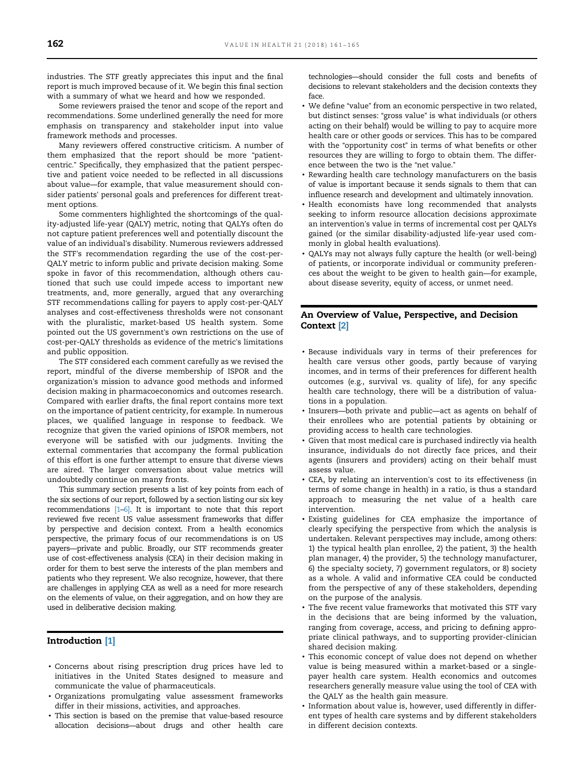industries. The STF greatly appreciates this input and the final report is much improved because of it. We begin this final section with a summary of what we heard and how we responded.

Some reviewers praised the tenor and scope of the report and recommendations. Some underlined generally the need for more emphasis on transparency and stakeholder input into value framework methods and processes.

Many reviewers offered constructive criticism. A number of them emphasized that the report should be more "patientcentric." Specifically, they emphasized that the patient perspective and patient voice needed to be reflected in all discussions about value—for example, that value measurement should consider patients' personal goals and preferences for different treatment options.

Some commenters highlighted the shortcomings of the quality-adjusted life-year (QALY) metric, noting that QALYs often do not capture patient preferences well and potentially discount the value of an individual's disability. Numerous reviewers addressed the STF's recommendation regarding the use of the cost-per-QALY metric to inform public and private decision making. Some spoke in favor of this recommendation, although others cautioned that such use could impede access to important new treatments, and, more generally, argued that any overarching STF recommendations calling for payers to apply cost-per-QALY analyses and cost-effectiveness thresholds were not consonant with the pluralistic, market-based US health system. Some pointed out the US government's own restrictions on the use of cost-per-QALY thresholds as evidence of the metric's limitations and public opposition.

The STF considered each comment carefully as we revised the report, mindful of the diverse membership of ISPOR and the organization's mission to advance good methods and informed decision making in pharmacoeconomics and outcomes research. Compared with earlier drafts, the final report contains more text on the importance of patient centricity, for example. In numerous places, we qualified language in response to feedback. We recognize that given the varied opinions of ISPOR members, not everyone will be satisfied with our judgments. Inviting the external commentaries that accompany the formal publication of this effort is one further attempt to ensure that diverse views are aired. The larger conversation about value metrics will undoubtedly continue on many fronts.

This summary section presents a list of key points from each of the six sections of our report, followed by a section listing our six key recommendations [1–6]. It is important to note that this report reviewed five recent US value assessment frameworks that differ by perspective and decision context. From a health economics perspective, the primary focus of our recommendations is on US payers—private and public. Broadly, our STF recommends greater use of cost-effectiveness analysis (CEA) in their decision making in order for them to best serve the interests of the plan members and patients who they represent. We also recognize, however, that there are challenges in applying CEA as well as a need for more research on the elements of value, on their aggregation, and on how they are used in deliberative decision making.

#### Introduction [1]

- Concerns about rising prescription drug prices have led to initiatives in the United States designed to measure and communicate the value of pharmaceuticals.
- Organizations promulgating value assessment frameworks differ in their missions, activities, and approaches.
- This section is based on the premise that value-based resource allocation decisions—about drugs and other health care

technologies—should consider the full costs and benefits of decisions to relevant stakeholders and the decision contexts they face.

- We define "value" from an economic perspective in two related, but distinct senses: "gross value" is what individuals (or others acting on their behalf) would be willing to pay to acquire more health care or other goods or services. This has to be compared with the "opportunity cost" in terms of what benefits or other resources they are willing to forgo to obtain them. The difference between the two is the "net value."
- Rewarding health care technology manufacturers on the basis of value is important because it sends signals to them that can influence research and development and ultimately innovation.
- Health economists have long recommended that analysts seeking to inform resource allocation decisions approximate an intervention's value in terms of incremental cost per QALYs gained (or the similar disability-adjusted life-year used commonly in global health evaluations).
- QALYs may not always fully capture the health (or well-being) of patients, or incorporate individual or community preferences about the weight to be given to health gain—for example, about disease severity, equity of access, or unmet need.

#### An Overview of Value, Perspective, and Decision Context [2]

- Because individuals vary in terms of their preferences for health care versus other goods, partly because of varying incomes, and in terms of their preferences for different health outcomes (e.g., survival vs. quality of life), for any specific health care technology, there will be a distribution of valuations in a population.
- Insurers—both private and public—act as agents on behalf of their enrollees who are potential patients by obtaining or providing access to health care technologies.
- Given that most medical care is purchased indirectly via health insurance, individuals do not directly face prices, and their agents (insurers and providers) acting on their behalf must assess value.
- CEA, by relating an intervention's cost to its effectiveness (in terms of some change in health) in a ratio, is thus a standard approach to measuring the net value of a health care intervention.
- Existing guidelines for CEA emphasize the importance of clearly specifying the perspective from which the analysis is undertaken. Relevant perspectives may include, among others: 1) the typical health plan enrollee, 2) the patient, 3) the health plan manager, 4) the provider, 5) the technology manufacturer, 6) the specialty society, 7) government regulators, or 8) society as a whole. A valid and informative CEA could be conducted from the perspective of any of these stakeholders, depending on the purpose of the analysis.
- The five recent value frameworks that motivated this STF vary in the decisions that are being informed by the valuation, ranging from coverage, access, and pricing to defining appropriate clinical pathways, and to supporting provider-clinician shared decision making.
- This economic concept of value does not depend on whether value is being measured within a market-based or a singlepayer health care system. Health economics and outcomes researchers generally measure value using the tool of CEA with the QALY as the health gain measure.
- Information about value is, however, used differently in different types of health care systems and by different stakeholders in different decision contexts.